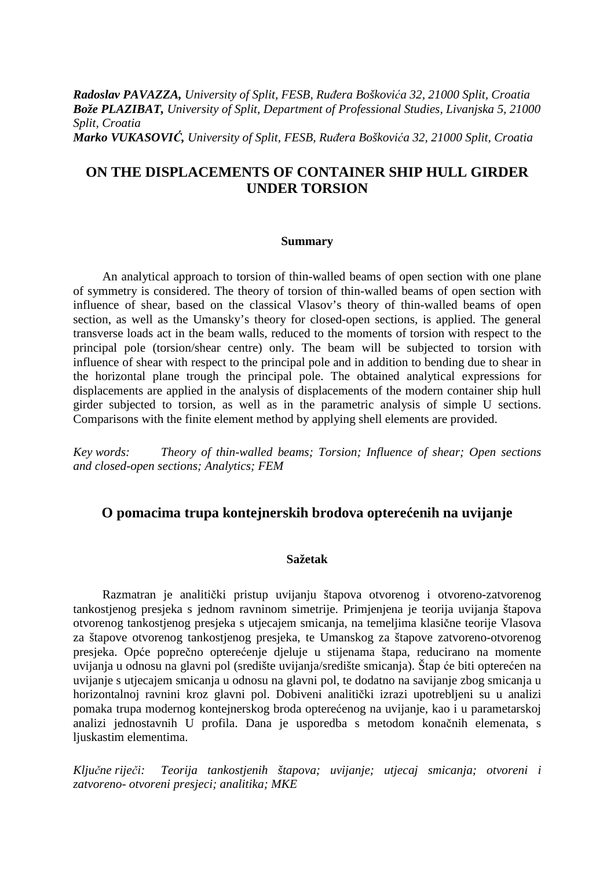*Radoslav PAVAZZA, University of Split, FESB, Ruñera Boškovića 32, 21000 Split, Croatia Bože PLAZIBAT, University of Split, Department of Professional Studies, Livanjska 5, 21000 Split, Croatia Marko VUKASOVIĆ, University of Split, FESB, Ruñera Boškovića 32, 21000 Split, Croatia* 

# **ON THE DISPLACEMENTS OF CONTAINER SHIP HULL GIRDER UNDER TORSION**

#### **Summary**

An analytical approach to torsion of thin-walled beams of open section with one plane of symmetry is considered. The theory of torsion of thin-walled beams of open section with influence of shear, based on the classical Vlasov's theory of thin-walled beams of open section, as well as the Umansky's theory for closed-open sections, is applied. The general transverse loads act in the beam walls, reduced to the moments of torsion with respect to the principal pole (torsion/shear centre) only. The beam will be subjected to torsion with influence of shear with respect to the principal pole and in addition to bending due to shear in the horizontal plane trough the principal pole. The obtained analytical expressions for displacements are applied in the analysis of displacements of the modern container ship hull girder subjected to torsion, as well as in the parametric analysis of simple U sections. Comparisons with the finite element method by applying shell elements are provided.

*Key words: Theory of thin-walled beams; Torsion; Influence of shear; Open sections and closed-open sections; Analytics; FEM* 

## **O pomacima trupa kontejnerskih brodova opterećenih na uvijanje**

#### **Sažetak**

Razmatran je analitički pristup uvijanju štapova otvorenog i otvoreno-zatvorenog tankostjenog presjeka s jednom ravninom simetrije. Primjenjena je teorija uvijanja štapova otvorenog tankostjenog presjeka s utjecajem smicanja, na temeljima klasične teorije Vlasova za štapove otvorenog tankostjenog presjeka, te Umanskog za štapove zatvoreno-otvorenog presjeka. Opće poprečno opterećenje djeluje u stijenama štapa, reducirano na momente uvijanja u odnosu na glavni pol (središte uvijanja/središte smicanja). Štap će biti opterećen na uvijanje s utjecajem smicanja u odnosu na glavni pol, te dodatno na savijanje zbog smicanja u horizontalnoj ravnini kroz glavni pol. Dobiveni analitički izrazi upotrebljeni su u analizi pomaka trupa modernog kontejnerskog broda opterećenog na uvijanje, kao i u parametarskoj analizi jednostavnih U profila. Dana je usporedba s metodom konačnih elemenata, s ljuskastim elementima.

*Ključne riječi: Teorija tankostjenih štapova; uvijanje; utjecaj smicanja; otvoreni i zatvoreno- otvoreni presjeci; analitika; MKE*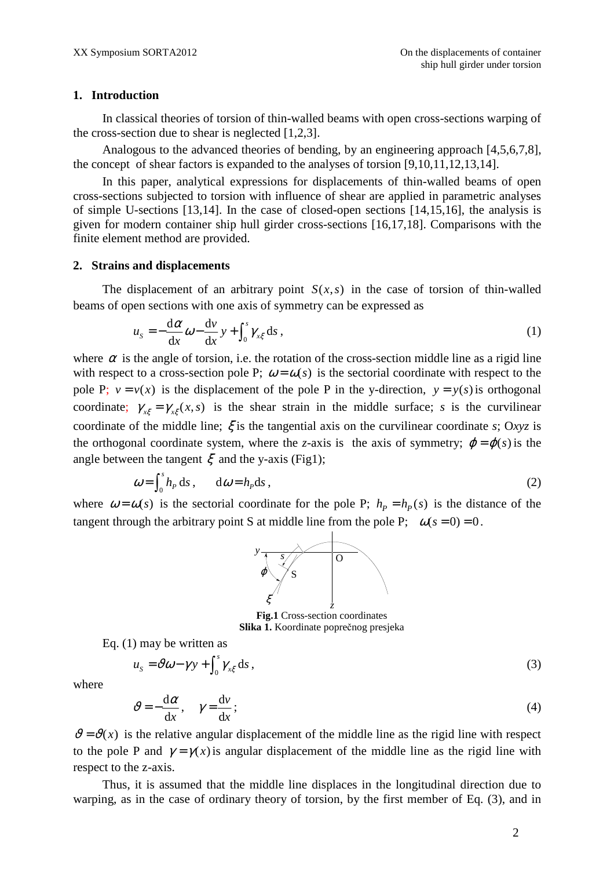#### **1. Introduction**

In classical theories of torsion of thin-walled beams with open cross-sections warping of the cross-section due to shear is neglected [1,2,3].

Analogous to the advanced theories of bending, by an engineering approach [4,5,6,7,8], the concept of shear factors is expanded to the analyses of torsion [9,10,11,12,13,14].

In this paper, analytical expressions for displacements of thin-walled beams of open cross-sections subjected to torsion with influence of shear are applied in parametric analyses of simple U-sections [13,14]. In the case of closed-open sections [14,15,16], the analysis is given for modern container ship hull girder cross-sections [16,17,18]. Comparisons with the finite element method are provided.

### **2. Strains and displacements**

The displacement of an arbitrary point  $S(x, s)$  in the case of torsion of thin-walled beams of open sections with one axis of symmetry can be expressed as

$$
u_s = -\frac{d\alpha}{dx}\omega - \frac{dv}{dx}y + \int_0^s \gamma_{x\xi} ds,
$$
\n(1)

where  $\alpha$  is the angle of torsion, i.e. the rotation of the cross-section middle line as a rigid line with respect to a cross-section pole P;  $\omega = \omega(s)$  is the sectorial coordinate with respect to the pole P;  $v = v(x)$  is the displacement of the pole P in the y-direction,  $y = y(s)$  is orthogonal coordinate;  $\gamma_{x\xi} = \gamma_{x\xi}(x, s)$  is the shear strain in the middle surface; *s* is the curvilinear coordinate of the middle line; ξ is the tangential axis on the curvilinear coordinate *s*; O*xyz* is the orthogonal coordinate system, where the *z*-axis is the axis of symmetry;  $\varphi = \varphi(s)$  is the angle between the tangent  $\xi$  and the y-axis (Fig1);

$$
\omega = \int_0^s h_p \, ds \,, \qquad d\omega = h_p ds \,, \tag{2}
$$

where  $\omega = \omega(s)$  is the sectorial coordinate for the pole P;  $h_p = h_p(s)$  is the distance of the tangent through the arbitrary point S at middle line from the pole P;  $\omega(s = 0) = 0$ .



**Fig.1** Cross-section coordinates **Slika 1.** Koordinate poprečnog presjeka

Eq. (1) may be written as

$$
u_{s} = \vartheta \omega - \gamma y + \int_{0}^{s} \gamma_{x\xi} ds , \qquad (3)
$$

where

$$
\vartheta = -\frac{\mathrm{d}\alpha}{\mathrm{d}x}, \quad \gamma = \frac{\mathrm{d}v}{\mathrm{d}x};
$$
\n(4)

 $\vartheta = \vartheta(x)$  is the relative angular displacement of the middle line as the rigid line with respect to the pole P and  $\gamma = \gamma(x)$  is angular displacement of the middle line as the rigid line with respect to the z-axis.

Thus, it is assumed that the middle line displaces in the longitudinal direction due to warping, as in the case of ordinary theory of torsion, by the first member of Eq. (3), and in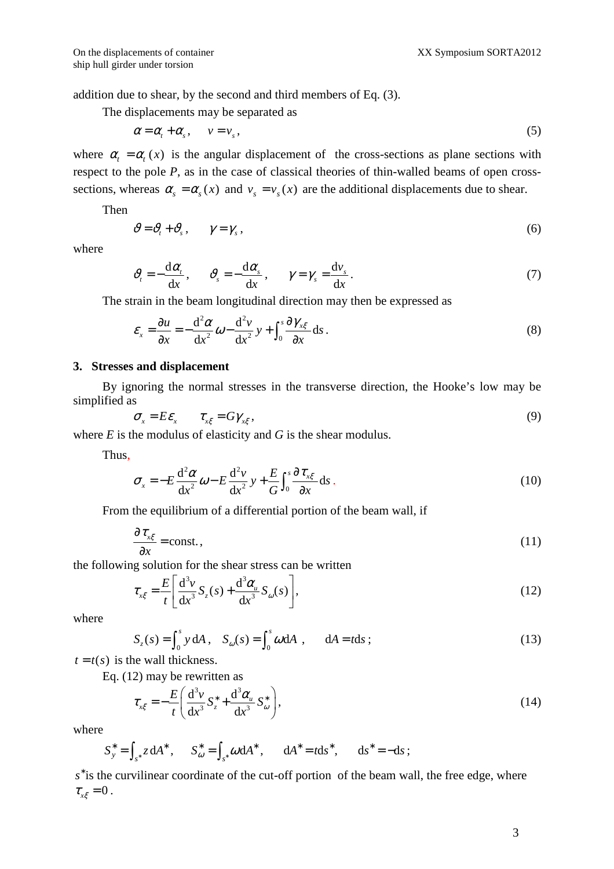addition due to shear, by the second and third members of Eq. (3).

The displacements may be separated as

$$
\alpha = \alpha_t + \alpha_s, \qquad v = v_s, \tag{5}
$$

where  $\alpha_i = \alpha_i(x)$  is the angular displacement of the cross-sections as plane sections with respect to the pole *P*, as in the case of classical theories of thin-walled beams of open crosssections, whereas  $\alpha_s = \alpha_s(x)$  and  $v_s = v_s(x)$  are the additional displacements due to shear.

Then

$$
\vartheta = \vartheta_t + \vartheta_s \,, \qquad \gamma = \gamma_s \,, \tag{6}
$$

where

$$
\vartheta_{t} = -\frac{d\alpha_{t}}{dx}, \qquad \vartheta_{s} = -\frac{d\alpha_{s}}{dx}, \qquad \gamma = \gamma_{s} = \frac{d\nu_{s}}{dx}.
$$
\n(7)

The strain in the beam longitudinal direction may then be expressed as

$$
\varepsilon_{x} = \frac{\partial u}{\partial x} = -\frac{d^{2} \alpha}{dx^{2}} \omega - \frac{d^{2} v}{dx^{2}} y + \int_{0}^{s} \frac{\partial \gamma_{x\xi}}{\partial x} ds.
$$
\n(8)

#### **3. Stresses and displacement**

By ignoring the normal stresses in the transverse direction, the Hooke's low may be simplified as

$$
\sigma_{x} = E \varepsilon_{x} \qquad \tau_{x\xi} = G \gamma_{x\xi} \,, \tag{9}
$$

where  $E$  is the modulus of elasticity and  $G$  is the shear modulus.

Thus,

$$
\sigma_x = -E \frac{d^2 \alpha}{dx^2} \omega - E \frac{d^2 v}{dx^2} y + \frac{E}{G} \int_0^s \frac{\partial \tau_{x\xi}}{\partial x} ds.
$$
\n(10)

From the equilibrium of a differential portion of the beam wall, if

$$
\frac{\partial \tau_{x\xi}}{\partial x} = \text{const.},\tag{11}
$$

the following solution for the shear stress can be written

$$
\tau_{x\xi} = \frac{E}{t} \left[ \frac{d^3 v}{dx^3} S_z(s) + \frac{d^3 \alpha_u}{dx^3} S_\omega(s) \right],\tag{12}
$$

where

$$
S_z(s) = \int_0^s y \, dA \,, \quad S_\omega(s) = \int_0^s \omega \, dA \,, \qquad dA = t \, ds \,;
$$
 (13)

 $t = t(s)$  is the wall thickness.

Eq. (12) may be rewritten as

$$
\tau_{x\xi} = -\frac{E}{t} \left( \frac{\mathrm{d}^3 v}{\mathrm{d}x^3} S_z^* + \frac{\mathrm{d}^3 \alpha_u}{\mathrm{d}x^3} S_\omega^* \right),\tag{14}
$$

where

$$
S_y^* = \int_{s^*} z \, dA^*
$$
,  $S_\omega^* = \int_{s^*} \omega \, dA^*$ ,  $dA^* = t ds^*$ ,  $ds^* = -ds$ ;

s<sup>\*</sup> is the curvilinear coordinate of the cut-off portion of the beam wall, the free edge, where  $\tau_{\alpha\xi} = 0$ .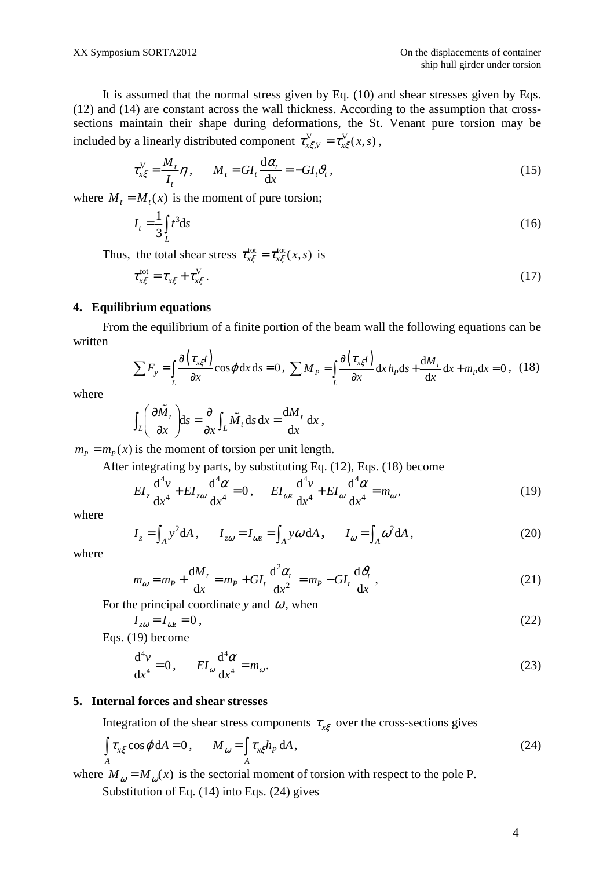It is assumed that the normal stress given by Eq. (10) and shear stresses given by Eqs. (12) and (14) are constant across the wall thickness. According to the assumption that crosssections maintain their shape during deformations, the St. Venant pure torsion may be included by a linearly distributed component  $\tau_{x\xi,v}^V = \tau_{x\xi}^V(x,s)$ ,

$$
\tau_{x\xi}^V = \frac{M_t}{I_t} \eta, \qquad M_t = GI_t \frac{d\alpha_t}{dx} = -GI_t \vartheta_t, \qquad (15)
$$

where  $M_t = M_t(x)$  is the moment of pure torsion;

$$
I_t = \frac{1}{3} \int_L t^3 \, \mathrm{d}s \tag{16}
$$

Thus, the total shear stress  $\tau_{x\xi}^{\text{tot}} = \tau_{x\xi}^{\text{tot}}(x, s)$  is

$$
\tau_{x\xi}^{\text{tot}} = \tau_{x\xi} + \tau_{x\xi}^{\text{V}}.
$$
\n(17)

#### **4. Equilibrium equations**

From the equilibrium of a finite portion of the beam wall the following equations can be written

$$
\sum F_y = \int_L \frac{\partial (\tau_{x\xi}t)}{\partial x} \cos \varphi \, dx \, ds = 0, \ \sum M_P = \int_L \frac{\partial (\tau_{x\xi}t)}{\partial x} \, dx \, h_P \, ds + \frac{dM_t}{dx} \, dx + m_P \, dx = 0 \,, \tag{18}
$$

where

$$
\int_{L} \left( \frac{\partial \tilde{M}_{t}}{\partial x} \right) ds = \frac{\partial}{\partial x} \int_{L} \tilde{M}_{t} ds dx = \frac{dM_{t}}{dx} dx,
$$

 $m_p = m_p(x)$  is the moment of torsion per unit length.

After integrating by parts, by substituting Eq. (12), Eqs. (18) become

$$
EI_z \frac{d^4 v}{dx^4} + EI_{z\omega} \frac{d^4 \alpha}{dx^4} = 0, \qquad EI_{\omega z} \frac{d^4 v}{dx^4} + EI_{\omega} \frac{d^4 \alpha}{dx^4} = m_{\omega},
$$
\n(19)

where

$$
I_z = \int_A y^2 dA, \qquad I_{z\omega} = I_{\omega z} = \int_A y \omega dA, \qquad I_{\omega} = \int_A \omega^2 dA,
$$
 (20)

where

$$
m_{\omega} = m_P + \frac{\mathrm{d}M_t}{\mathrm{d}x} = m_P + GI_t \frac{\mathrm{d}^2 \alpha_t}{\mathrm{d}x^2} = m_P - GI_t \frac{\mathrm{d}\vartheta_t}{\mathrm{d}x},\tag{21}
$$

For the principal coordinate *y* and  $\omega$ , when

$$
I_{z\omega} = I_{\omega z} = 0, \tag{22}
$$

Eqs. (19) become

$$
\frac{d^4v}{dx^4} = 0, \qquad EI_\omega \frac{d^4\alpha}{dx^4} = m_\omega.
$$
\n(23)

#### **5. Internal forces and shear stresses**

Integration of the shear stress components  $\tau_{\chi\xi}$  over the cross-sections gives

$$
\int_{A} \tau_{x\xi} \cos \varphi \, dA = 0, \qquad M_{\omega} = \int_{A} \tau_{x\xi} h_{P} \, dA, \qquad (24)
$$

where  $M_{\omega} = M_{\omega}(x)$  is the sectorial moment of torsion with respect to the pole P.

Substitution of Eq. (14) into Eqs. (24) gives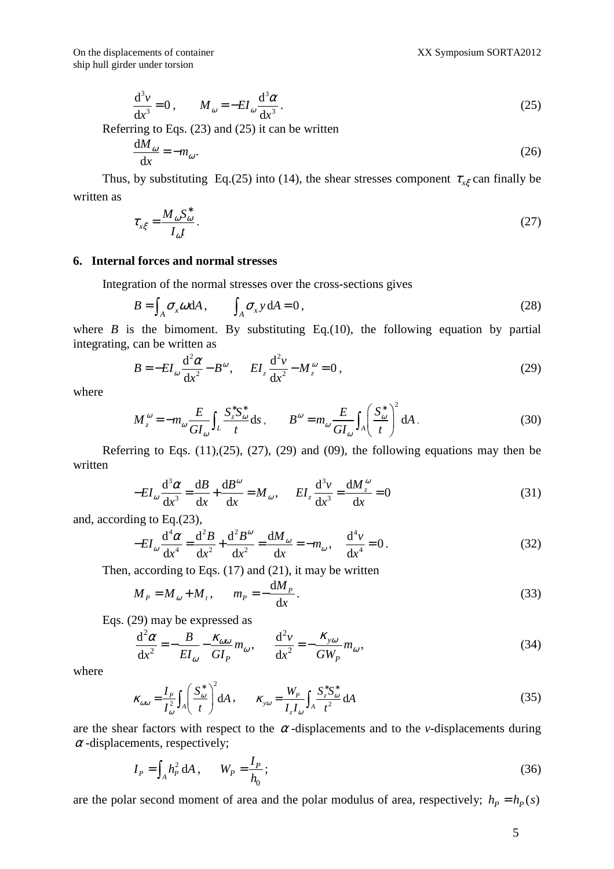$$
\frac{\mathrm{d}^3 v}{\mathrm{d}x^3} = 0 \,, \qquad M_\omega = -EI_\omega \frac{\mathrm{d}^3 \alpha}{\mathrm{d}x^3} \,. \tag{25}
$$

Referring to Eqs. (23) and (25) it can be written

$$
\frac{\mathrm{d}M_{\omega}}{\mathrm{d}x} = -m_{\omega}.\tag{26}
$$

Thus, by substituting Eq.(25) into (14), the shear stresses component  $\tau_{x\xi}$  can finally be written as

$$
\tau_{x\xi} = \frac{M_{\omega} S_{\omega}^*}{I_{\omega} t} \,. \tag{27}
$$

#### **6. Internal forces and normal stresses**

Integration of the normal stresses over the cross-sections gives

$$
B = \int_{A} \sigma_{x} \omega \, dA, \qquad \int_{A} \sigma_{x} y \, dA = 0, \tag{28}
$$

where  $B$  is the bimoment. By substituting Eq.(10), the following equation by partial integrating, can be written as

$$
B = -EI_{\omega} \frac{\mathrm{d}^2 \alpha}{\mathrm{d} x^2} - B^{\omega}, \qquad EI_z \frac{\mathrm{d}^2 v}{\mathrm{d} x^2} - M_z^{\omega} = 0, \tag{29}
$$

where

$$
M_z^{\omega} = -m_{\omega} \frac{E}{GI_{\omega}} \int_L \frac{S_z^* S_{\omega}^*}{t} ds, \qquad B^{\omega} = m_{\omega} \frac{E}{GI_{\omega}} \int_A \left(\frac{S_{\omega}^*}{t}\right)^2 dA.
$$
 (30)

Referring to Eqs.  $(11),(25),(27),(29)$  and  $(09)$ , the following equations may then be written

$$
-EI_{\omega}\frac{d^3\alpha}{dx^3} = \frac{dB}{dx} + \frac{dB^{\omega}}{dx} = M_{\omega}, \qquad EI_z \frac{d^3v}{dx^3} = \frac{dM_z^{\omega}}{dx} = 0
$$
\n(31)

and, according to Eq.(23),

$$
-EI_{\omega} \frac{d^4 \alpha}{dx^4} = \frac{d^2 B}{dx^2} + \frac{d^2 B^{\omega}}{dx^2} = \frac{dM_{\omega}}{dx} = -m_{\omega}, \quad \frac{d^4 \nu}{dx^4} = 0.
$$
 (32)

Then, according to Eqs. (17) and (21), it may be written

$$
M_P = M_\omega + M_t, \qquad m_P = -\frac{\mathrm{d}M_P}{\mathrm{d}x}.\tag{33}
$$

Eqs. (29) may be expressed as

$$
\frac{\mathrm{d}^2 \alpha}{\mathrm{d}x^2} = -\frac{B}{EI_{\omega}} - \frac{\kappa_{\omega\omega}}{GI_P} m_{\omega}, \qquad \frac{\mathrm{d}^2 v}{\mathrm{d}x^2} = -\frac{\kappa_{y\omega}}{GW_P} m_{\omega},\tag{34}
$$

where

$$
\kappa_{\omega\omega} = \frac{I_P}{I_{\omega}^2} \int_A \left(\frac{S_{\omega}^*}{t}\right)^2 dA , \qquad \kappa_{\nu\omega} = \frac{W_P}{I_z I_{\omega}} \int_A \frac{S_z^* S_{\omega}^*}{t^2} dA
$$
\n(35)

are the shear factors with respect to the  $\alpha$ -displacements and to the *v*-displacements during  $\alpha$ -displacements, respectively;

$$
I_{P} = \int_{A} h_{P}^{2} dA , \qquad W_{P} = \frac{I_{P}}{h_{0}};
$$
 (36)

are the polar second moment of area and the polar modulus of area, respectively;  $h_p = h_p(s)$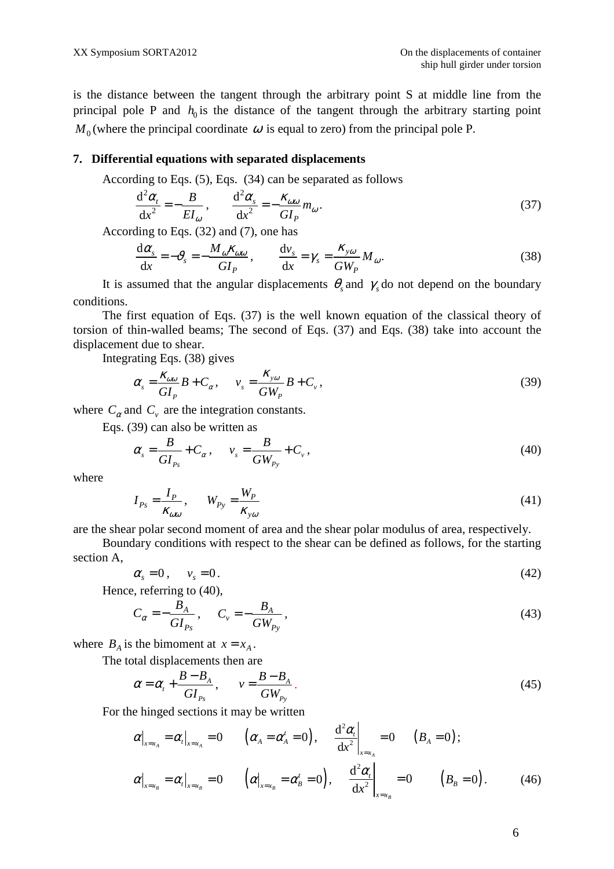is the distance between the tangent through the arbitrary point S at middle line from the principal pole P and  $h_0$  is the distance of the tangent through the arbitrary starting point  $M_0$  (where the principal coordinate  $\omega$  is equal to zero) from the principal pole P.

#### **7. Differential equations with separated displacements**

According to Eqs. (5), Eqs. (34) can be separated as follows

$$
\frac{\mathrm{d}^2 \alpha_t}{\mathrm{d} x^2} = -\frac{B}{EI_\omega}, \qquad \frac{\mathrm{d}^2 \alpha_s}{\mathrm{d} x^2} = -\frac{\kappa_{\omega\omega}}{GI_P} m_\omega. \tag{37}
$$

According to Eqs. (32) and (7), one has

$$
\frac{d\alpha_s}{dx} = -\vartheta_s = -\frac{M_{\omega}K_{\omega\omega}}{GI_P}, \qquad \frac{dv_s}{dx} = \gamma_s = \frac{K_{y\omega}}{GW_P}M_{\omega}.
$$
\n(38)

It is assumed that the angular displacements  $\theta_s$  and  $\gamma_s$  do not depend on the boundary conditions.

The first equation of Eqs. (37) is the well known equation of the classical theory of torsion of thin-walled beams; The second of Eqs. (37) and Eqs. (38) take into account the displacement due to shear.

Integrating Eqs. (38) gives

$$
\alpha_s = \frac{\kappa_{\omega\omega}}{GI_P} B + C_\alpha, \qquad v_s = \frac{\kappa_{\nu\omega}}{GW_P} B + C_\nu,
$$
\n(39)

where  $C_{\alpha}$  and  $C_{\nu}$  are the integration constants.

Eqs. (39) can also be written as

$$
\alpha_s = \frac{B}{GI_{P_s}} + C_\alpha, \qquad v_s = \frac{B}{GW_{P_y}} + C_v,
$$
\n(40)

where

$$
I_{Ps} = \frac{I_P}{\kappa_{\omega\omega}}, \qquad W_{Py} = \frac{W_P}{\kappa_{y\omega}}
$$
(41)

are the shear polar second moment of area and the shear polar modulus of area, respectively.

Boundary conditions with respect to the shear can be defined as follows, for the starting section A,

$$
\alpha_s = 0 \,, \qquad v_s = 0 \,. \tag{42}
$$

Hence, referring to (40),

$$
C_{\alpha} = -\frac{B_A}{GI_{Ps}}, \qquad C_v = -\frac{B_A}{GW_{Py}}, \tag{43}
$$

where  $B_A$  is the bimoment at  $x = x_A$ .

The total displacements then are

$$
\alpha = \alpha_t + \frac{B - B_A}{GI_{P_s}}, \qquad v = \frac{B - B_A}{GW_{P_y}}.
$$
\n(45)

 $\overline{1}$ 

For the hinged sections it may be written

$$
\alpha\Big|_{x=x_A} = \alpha_t\Big|_{x=x_A} = 0 \qquad \left(\alpha_A = \alpha_A^t = 0\right), \qquad \frac{\mathrm{d}^2\alpha_t}{\mathrm{d}x^2}\Big|_{x=x_A} = 0 \qquad \left(B_A = 0\right);
$$
\n
$$
\alpha\Big|_{x=x_B} = \alpha_t\Big|_{x=x_B} = 0 \qquad \left(\alpha\Big|_{x=x_B} = \alpha_B^t = 0\right), \qquad \frac{\mathrm{d}^2\alpha_t}{\mathrm{d}x^2}\Big|_{x=x_B} = 0 \qquad \left(B_B = 0\right). \qquad (46)
$$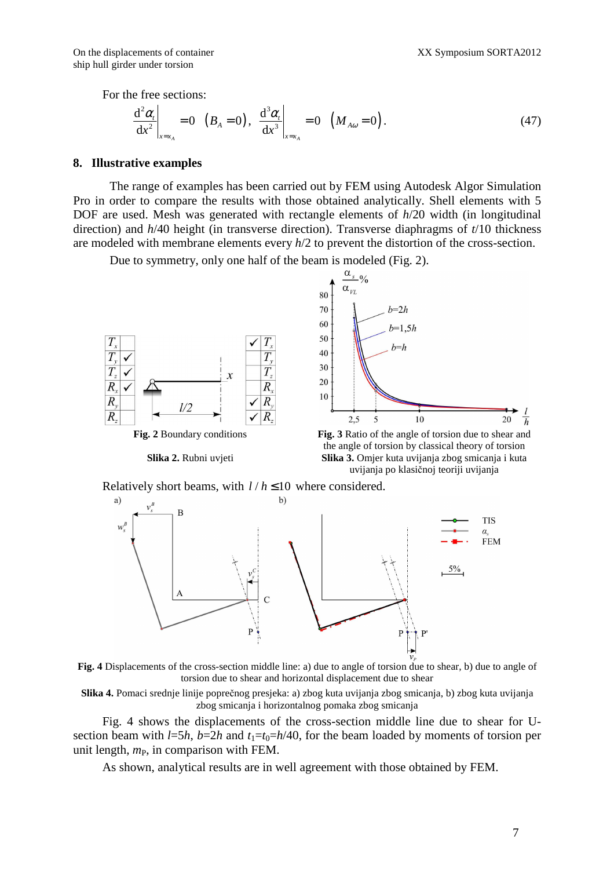On the displacements of container The Context of Container The Sample Solution of the displacements of container ship hull girder under torsion

For the free sections:

$$
\left. \frac{\mathrm{d}^2 \alpha_t}{\mathrm{d} x^2} \right|_{x=x_A} = 0 \quad \left( B_A = 0 \right), \quad \left. \frac{\mathrm{d}^3 \alpha_t}{\mathrm{d} x^3} \right|_{x=x_A} = 0 \quad \left( M_{A\omega} = 0 \right). \tag{47}
$$

### **8. Illustrative examples**

The range of examples has been carried out by FEM using Autodesk Algor Simulation Pro in order to compare the results with those obtained analytically. Shell elements with 5 DOF are used. Mesh was generated with rectangle elements of *h*/20 width (in longitudinal direction) and *h*/40 height (in transverse direction). Transverse diaphragms of *t*/10 thickness are modeled with membrane elements every *h*/2 to prevent the distortion of the cross-section.

Due to symmetry, only one half of the beam is modeled (Fig. 2).



Relatively short beams, with  $l/h \le 10$  where considered.



**Fig. 4** Displacements of the cross-section middle line: a) due to angle of torsion due to shear, b) due to angle of torsion due to shear and horizontal displacement due to shear

**Slika 4.** Pomaci srednje linije poprečnog presjeka: a) zbog kuta uvijanja zbog smicanja, b) zbog kuta uvijanja zbog smicanja i horizontalnog pomaka zbog smicanja

Fig. 4 shows the displacements of the cross-section middle line due to shear for Usection beam with  $l=5h$ ,  $b=2h$  and  $t_1=t_0=h/40$ , for the beam loaded by moments of torsion per unit length,  $m_{\rm P}$ , in comparison with FEM.

As shown, analytical results are in well agreement with those obtained by FEM.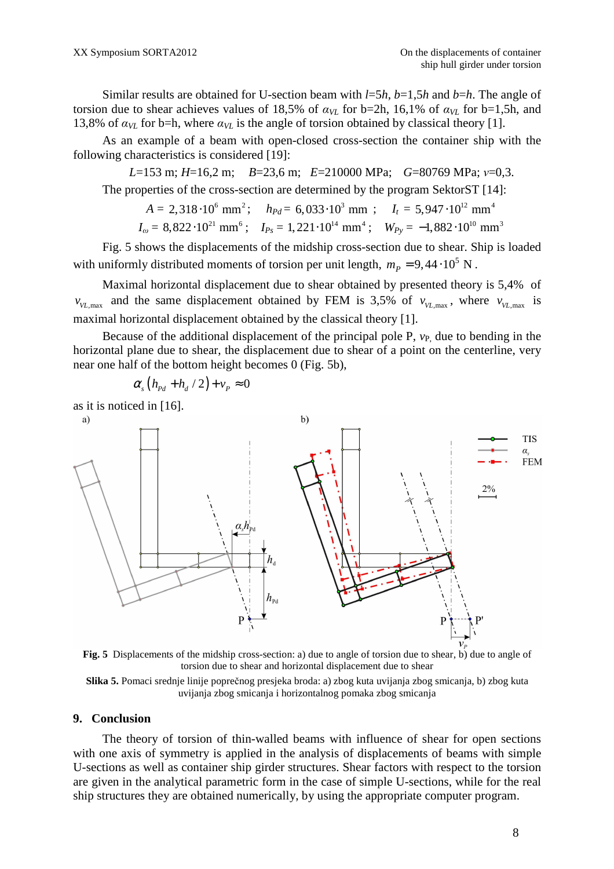Similar results are obtained for U-section beam with *l*=5*h*, *b*=1,5*h* and *b*=*h*. The angle of torsion due to shear achieves values of 18,5% of  $a_{V}$  for b=2h, 16,1% of  $a_{V}$  for b=1,5h, and 13,8% of  $a_{VL}$  for b=h, where  $a_{VL}$  is the angle of torsion obtained by classical theory [1].

As an example of a beam with open-closed cross-section the container ship with the following characteristics is considered [19]:

*L*=153 m; *H*=16,2 m; *B*=23,6 m; *E*=210000 MPa; *G*=80769 MPa; *ν*=0,3. The properties of the cross-section are determined by the program SektorST [14]:

$$
A = 2,318 \cdot 10^6 \text{ mm}^2; \quad h_{Pd} = 6,033 \cdot 10^3 \text{ mm}; \quad I_t = 5,947 \cdot 10^{12} \text{ mm}^4
$$
  

$$
I_{\omega} = 8,822 \cdot 10^{21} \text{ mm}^6; \quad I_{Ps} = 1,221 \cdot 10^{14} \text{ mm}^4; \quad W_{Py} = -1,882 \cdot 10^{10} \text{ mm}^3
$$

Fig. 5 shows the displacements of the midship cross-section due to shear. Ship is loaded with uniformly distributed moments of torsion per unit length,  $m_p = 9,44 \cdot 10^5$  N.

Maximal horizontal displacement due to shear obtained by presented theory is 5,4% of  $v_{VL,max}$  and the same displacement obtained by FEM is 3,5% of  $v_{VL,max}$ , where  $v_{VL,max}$  is maximal horizontal displacement obtained by the classical theory [1].

Because of the additional displacement of the principal pole  $P$ ,  $v_P$  due to bending in the horizontal plane due to shear, the displacement due to shear of a point on the centerline, very near one half of the bottom height becomes 0 (Fig. 5b),

$$
\alpha_s (h_{Pd} + h_d / 2) + v_P \approx 0
$$

as it is noticed in [16].



**Fig. 5** Displacements of the midship cross-section: a) due to angle of torsion due to shear, b) due to angle of torsion due to shear and horizontal displacement due to shear



#### **9. Conclusion**

The theory of torsion of thin-walled beams with influence of shear for open sections with one axis of symmetry is applied in the analysis of displacements of beams with simple U-sections as well as container ship girder structures. Shear factors with respect to the torsion are given in the analytical parametric form in the case of simple U-sections, while for the real ship structures they are obtained numerically, by using the appropriate computer program.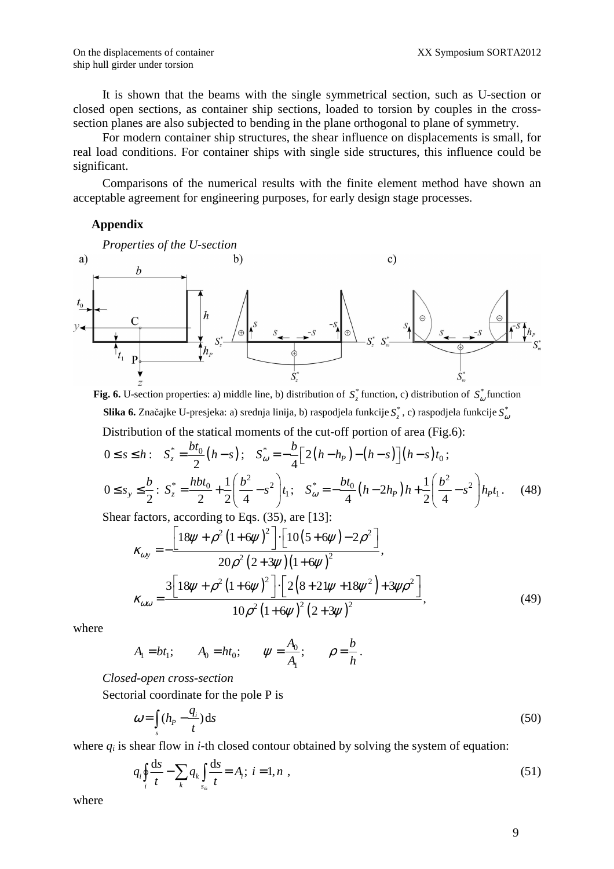ship hull girder under torsion

It is shown that the beams with the single symmetrical section, such as U-section or closed open sections, as container ship sections, loaded to torsion by couples in the crosssection planes are also subjected to bending in the plane orthogonal to plane of symmetry.

For modern container ship structures, the shear influence on displacements is small, for real load conditions. For container ships with single side structures, this influence could be significant.

Comparisons of the numerical results with the finite element method have shown an acceptable agreement for engineering purposes, for early design stage processes.

# **Appendix**



**Fig. 6.** U-section properties: a) middle line, b) distribution of  $S_z^*$  function, c) distribution of  $S_\omega^*$  function  ${\bf Slika}$  6. Značajke U-presjeka: a) srednja linija, b) raspodjela funkcije  $S_z^*$ , c) raspodjela funkcije  $S_\omega^*$ Distribution of the statical moments of the cut-off portion of area (Fig.6):

$$
0 \le s \le h: \quad S_z^* = \frac{bt_0}{2} \left( h - s \right); \quad S_{\omega}^* = -\frac{b}{4} \Big[ 2 \left( h - h_p \right) - \left( h - s \right) \Big] \left( h - s \right) t_0;
$$
\n
$$
0 \le s_y \le \frac{b}{2}: \quad S_z^* = \frac{hbt_0}{2} + \frac{1}{2} \Big( \frac{b^2}{4} - s^2 \Big) t_1; \quad S_{\omega}^* = -\frac{bt_0}{4} \left( h - 2h_p \right) h + \frac{1}{2} \Big( \frac{b^2}{4} - s^2 \Big) h_p t_1. \tag{48}
$$

Shear factors, according to Eqs. (35), are [13]:

$$
\kappa_{\omega y} = -\frac{\left[18\psi + \rho^2 \left(1 + 6\psi\right)^2\right] \cdot \left[10\left(5 + 6\psi\right) - 2\rho^2\right]}{20\rho^2 \left(2 + 3\psi\right) \left(1 + 6\psi\right)^2},
$$
\n
$$
\kappa_{\omega\omega} = \frac{3\left[18\psi + \rho^2 \left(1 + 6\psi\right)^2\right] \cdot \left[2\left(8 + 21\psi + 18\psi^2\right) + 3\psi\rho^2\right]}{10\rho^2 \left(1 + 6\psi\right)^2 \left(2 + 3\psi\right)^2},\tag{49}
$$

where

$$
A_1 = bt_1;
$$
  $A_0 = ht_0;$   $\psi = \frac{A_0}{A_1};$   $\rho = \frac{b}{h}.$ 

*Closed-open cross-section* 

Sectorial coordinate for the pole P is

$$
\omega = \int_{s} (h_p - \frac{q_i}{t}) ds \tag{50}
$$

where  $q_i$  is shear flow in  $i$ -th closed contour obtained by solving the system of equation:

$$
q_i \oint_i \frac{ds}{t} - \sum_k q_k \int_{s_{ik}} \frac{ds}{t} = A_i; \ i = 1, n \ , \tag{51}
$$

where